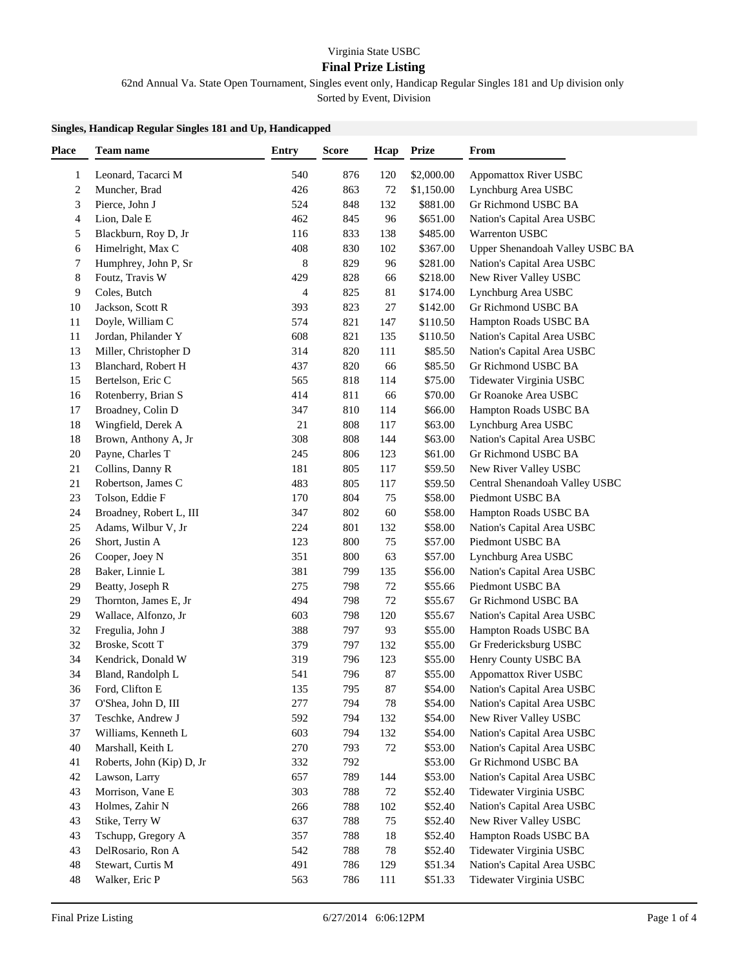## Virginia State USBC

## **Final Prize Listing**

62nd Annual Va. State Open Tournament, Singles event only, Handicap Regular Singles 181 and Up division only

Sorted by Event, Division

## **Singles, Handicap Regular Singles 181 and Up, Handicapped**

| <b>Place</b>            | Team name                                | <b>Entry</b> | <b>Score</b> | Hcap      | <b>Prize</b>       | From                                              |
|-------------------------|------------------------------------------|--------------|--------------|-----------|--------------------|---------------------------------------------------|
| 1                       | Leonard, Tacarci M                       | 540          | 876          | 120       | \$2,000.00         | Appomattox River USBC                             |
| $\overline{\mathbf{c}}$ | Muncher, Brad                            | 426          | 863          | 72        | \$1,150.00         | Lynchburg Area USBC                               |
| 3                       | Pierce, John J                           | 524          | 848          | 132       | \$881.00           | Gr Richmond USBC BA                               |
| 4                       | Lion, Dale E                             | 462          | 845          | 96        | \$651.00           | Nation's Capital Area USBC                        |
| 5                       | Blackburn, Roy D, Jr                     | 116          | 833          | 138       | \$485.00           | Warrenton USBC                                    |
| 6                       | Himelright, Max C                        | 408          | 830          | 102       | \$367.00           | Upper Shenandoah Valley USBC BA                   |
| 7                       | Humphrey, John P, Sr                     | $\,$ 8 $\,$  | 829          | 96        | \$281.00           | Nation's Capital Area USBC                        |
| 8                       | Foutz, Travis W                          | 429          | 828          | 66        | \$218.00           | New River Valley USBC                             |
| 9                       | Coles, Butch                             | 4            | 825          | 81        | \$174.00           | Lynchburg Area USBC                               |
| 10                      | Jackson, Scott R                         | 393          | 823          | 27        | \$142.00           | Gr Richmond USBC BA                               |
| 11                      | Doyle, William C                         | 574          | 821          | 147       | \$110.50           | Hampton Roads USBC BA                             |
| 11                      | Jordan, Philander Y                      | 608          | 821          | 135       | \$110.50           | Nation's Capital Area USBC                        |
| 13                      | Miller, Christopher D                    | 314          | 820          | 111       | \$85.50            | Nation's Capital Area USBC                        |
| 13                      | Blanchard, Robert H                      | 437          | 820          | 66        | \$85.50            | Gr Richmond USBC BA                               |
| 15                      | Bertelson, Eric C                        | 565          | 818          | 114       | \$75.00            | Tidewater Virginia USBC                           |
| 16                      | Rotenberry, Brian S                      | 414          | 811          | 66        | \$70.00            | Gr Roanoke Area USBC                              |
| 17                      | Broadney, Colin D                        | 347          | 810          | 114       | \$66.00            | Hampton Roads USBC BA                             |
| 18                      | Wingfield, Derek A                       | 21           | 808          | 117       | \$63.00            | Lynchburg Area USBC                               |
| 18                      | Brown, Anthony A, Jr                     | 308          | 808          | 144       | \$63.00            | Nation's Capital Area USBC                        |
| 20                      | Payne, Charles T                         | 245          | 806          | 123       | \$61.00            | Gr Richmond USBC BA                               |
| 21                      | Collins, Danny R                         | 181          | 805          | 117       | \$59.50            | New River Valley USBC                             |
| 21                      | Robertson, James C                       | 483          | 805          | 117       | \$59.50            | Central Shenandoah Valley USBC                    |
| 23                      | Tolson, Eddie F                          | 170          | 804          | 75        | \$58.00            | Piedmont USBC BA                                  |
| 24                      | Broadney, Robert L, III                  | 347          | 802          | 60        | \$58.00            | Hampton Roads USBC BA                             |
| 25                      | Adams, Wilbur V, Jr                      | 224          | 801          | 132       | \$58.00            | Nation's Capital Area USBC                        |
| 26                      | Short, Justin A                          | 123          | 800          | 75        | \$57.00            | Piedmont USBC BA                                  |
| 26                      | Cooper, Joey N                           | 351          | 800          | 63        | \$57.00            | Lynchburg Area USBC                               |
| 28                      | Baker, Linnie L                          | 381          | 799          | 135       | \$56.00            | Nation's Capital Area USBC                        |
| 29                      | Beatty, Joseph R                         | 275          | 798          | 72        | \$55.66            | Piedmont USBC BA                                  |
| 29                      | Thornton, James E, Jr                    | 494          | 798          | 72        | \$55.67            | Gr Richmond USBC BA                               |
| 29                      | Wallace, Alfonzo, Jr                     | 603          | 798          |           | \$55.67            | Nation's Capital Area USBC                        |
|                         |                                          |              | 797          | 120       |                    | Hampton Roads USBC BA                             |
| 32<br>32                | Fregulia, John J<br>Broske, Scott T      | 388<br>379   | 797          | 93<br>132 | \$55.00<br>\$55.00 | Gr Fredericksburg USBC                            |
| 34                      |                                          | 319          | 796          |           | \$55.00            |                                                   |
| 34                      | Kendrick, Donald W                       | 541          | 796          | 123<br>87 | \$55.00            | Henry County USBC BA                              |
| 36                      | Bland, Randolph L<br>Ford, Clifton E     | 135          | 795          | 87        | \$54.00            | Appomattox River USBC                             |
| 37                      |                                          | 277          | 794          | 78        | \$54.00            | Nation's Capital Area USBC                        |
| 37                      | O'Shea, John D, III                      | 592          | 794          | 132       | \$54.00            | Nation's Capital Area USBC                        |
| 37                      | Teschke, Andrew J<br>Williams, Kenneth L | 603          | 794          | 132       | \$54.00            | New River Valley USBC                             |
| 40                      |                                          | 270          | 793          | 72        | \$53.00            | Nation's Capital Area USBC                        |
|                         | Marshall, Keith L                        |              |              |           |                    | Nation's Capital Area USBC<br>Gr Richmond USBC BA |
| 41                      | Roberts, John (Kip) D, Jr                | 332          | 792          |           | \$53.00            |                                                   |
| 42                      | Lawson, Larry                            | 657          | 789          | 144       | \$53.00            | Nation's Capital Area USBC                        |
| 43                      | Morrison, Vane E                         | 303          | 788          | 72        | \$52.40            | Tidewater Virginia USBC                           |
| 43                      | Holmes, Zahir N                          | 266          | 788          | 102       | \$52.40            | Nation's Capital Area USBC                        |
| 43                      | Stike, Terry W                           | 637          | 788          | 75        | \$52.40            | New River Valley USBC                             |
| 43                      | Tschupp, Gregory A                       | 357          | 788          | 18        | \$52.40            | Hampton Roads USBC BA                             |
| 43                      | DelRosario, Ron A                        | 542          | 788          | 78        | \$52.40            | Tidewater Virginia USBC                           |
| 48                      | Stewart, Curtis M                        | 491          | 786          | 129       | \$51.34            | Nation's Capital Area USBC                        |
| 48                      | Walker, Eric P                           | 563          | 786          | 111       | \$51.33            | Tidewater Virginia USBC                           |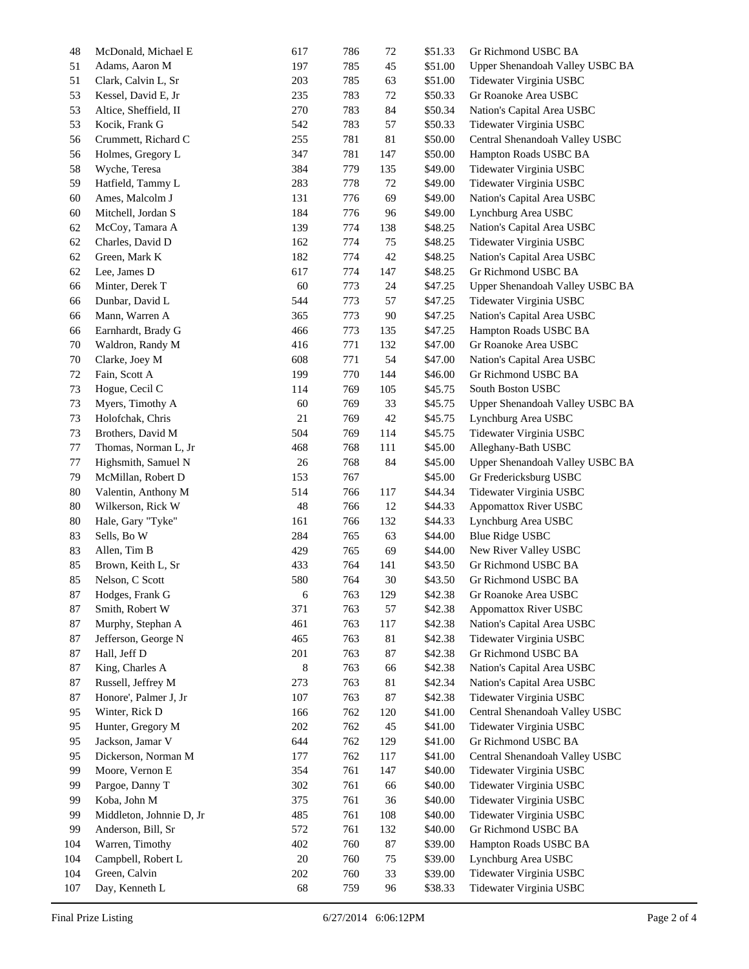| 48  | McDonald, Michael E      | 617 | 786 | 72  | \$51.33 | Gr Richmond USBC BA             |
|-----|--------------------------|-----|-----|-----|---------|---------------------------------|
| 51  | Adams, Aaron M           | 197 | 785 | 45  | \$51.00 | Upper Shenandoah Valley USBC BA |
| 51  | Clark, Calvin L, Sr      | 203 | 785 | 63  | \$51.00 | Tidewater Virginia USBC         |
| 53  | Kessel, David E, Jr      | 235 | 783 | 72  | \$50.33 | Gr Roanoke Area USBC            |
| 53  | Altice, Sheffield, II    | 270 | 783 | 84  | \$50.34 | Nation's Capital Area USBC      |
| 53  | Kocik, Frank G           | 542 | 783 | 57  | \$50.33 | Tidewater Virginia USBC         |
| 56  | Crummett, Richard C      | 255 | 781 | 81  | \$50.00 | Central Shenandoah Valley USBC  |
| 56  | Holmes, Gregory L        | 347 | 781 | 147 | \$50.00 | Hampton Roads USBC BA           |
| 58  | Wyche, Teresa            | 384 | 779 | 135 | \$49.00 | Tidewater Virginia USBC         |
| 59  | Hatfield, Tammy L        | 283 | 778 | 72  | \$49.00 | Tidewater Virginia USBC         |
| 60  | Ames, Malcolm J          | 131 | 776 | 69  | \$49.00 | Nation's Capital Area USBC      |
| 60  | Mitchell, Jordan S       | 184 | 776 | 96  | \$49.00 | Lynchburg Area USBC             |
| 62  | McCoy, Tamara A          | 139 | 774 | 138 | \$48.25 | Nation's Capital Area USBC      |
| 62  | Charles, David D         | 162 | 774 | 75  | \$48.25 | Tidewater Virginia USBC         |
| 62  | Green, Mark K            | 182 | 774 | 42  | \$48.25 | Nation's Capital Area USBC      |
| 62  | Lee, James D             | 617 | 774 | 147 | \$48.25 | Gr Richmond USBC BA             |
| 66  | Minter, Derek T          | 60  | 773 | 24  | \$47.25 | Upper Shenandoah Valley USBC BA |
| 66  | Dunbar, David L          | 544 | 773 | 57  | \$47.25 | Tidewater Virginia USBC         |
| 66  | Mann, Warren A           | 365 | 773 | 90  | \$47.25 | Nation's Capital Area USBC      |
| 66  | Earnhardt, Brady G       | 466 | 773 | 135 | \$47.25 | Hampton Roads USBC BA           |
| 70  | Waldron, Randy M         | 416 | 771 | 132 | \$47.00 | Gr Roanoke Area USBC            |
| 70  | Clarke, Joey M           | 608 | 771 | 54  | \$47.00 | Nation's Capital Area USBC      |
| 72  | Fain, Scott A            | 199 | 770 | 144 |         | Gr Richmond USBC BA             |
|     |                          |     |     |     | \$46.00 | South Boston USBC               |
| 73  | Hogue, Cecil C           | 114 | 769 | 105 | \$45.75 |                                 |
| 73  | Myers, Timothy A         | 60  | 769 | 33  | \$45.75 | Upper Shenandoah Valley USBC BA |
| 73  | Holofchak, Chris         | 21  | 769 | 42  | \$45.75 | Lynchburg Area USBC             |
| 73  | Brothers, David M        | 504 | 769 | 114 | \$45.75 | Tidewater Virginia USBC         |
| 77  | Thomas, Norman L, Jr     | 468 | 768 | 111 | \$45.00 | Alleghany-Bath USBC             |
| 77  | Highsmith, Samuel N      | 26  | 768 | 84  | \$45.00 | Upper Shenandoah Valley USBC BA |
| 79  | McMillan, Robert D       | 153 | 767 |     | \$45.00 | Gr Fredericksburg USBC          |
| 80  | Valentin, Anthony M      | 514 | 766 | 117 | \$44.34 | Tidewater Virginia USBC         |
| 80  | Wilkerson, Rick W        | 48  | 766 | 12  | \$44.33 | Appomattox River USBC           |
| 80  | Hale, Gary "Tyke"        | 161 | 766 | 132 | \$44.33 | Lynchburg Area USBC             |
| 83  | Sells, Bo W              | 284 | 765 | 63  | \$44.00 | <b>Blue Ridge USBC</b>          |
| 83  | Allen, Tim B             | 429 | 765 | 69  | \$44.00 | New River Valley USBC           |
| 85  | Brown, Keith L, Sr       | 433 | 764 | 141 | \$43.50 | Gr Richmond USBC BA             |
| 85  | Nelson, C Scott          | 580 | 764 | 30  | \$43.50 | Gr Richmond USBC BA             |
| 87  | Hodges, Frank G          | 6   | 763 | 129 | \$42.38 | Gr Roanoke Area USBC            |
| 87  | Smith, Robert W          | 371 | 763 | 57  | \$42.38 | Appomattox River USBC           |
| 87  | Murphy, Stephan A        | 461 | 763 | 117 | \$42.38 | Nation's Capital Area USBC      |
| 87  | Jefferson, George N      | 465 | 763 | 81  | \$42.38 | Tidewater Virginia USBC         |
| 87  | Hall, Jeff D             | 201 | 763 | 87  | \$42.38 | Gr Richmond USBC BA             |
| 87  | King, Charles A          | 8   | 763 | 66  | \$42.38 | Nation's Capital Area USBC      |
| 87  | Russell, Jeffrey M       | 273 | 763 | 81  | \$42.34 | Nation's Capital Area USBC      |
| 87  | Honore', Palmer J, Jr    | 107 | 763 | 87  | \$42.38 | Tidewater Virginia USBC         |
| 95  | Winter, Rick D           | 166 | 762 | 120 | \$41.00 | Central Shenandoah Valley USBC  |
| 95  | Hunter, Gregory M        | 202 | 762 | 45  | \$41.00 | Tidewater Virginia USBC         |
| 95  | Jackson, Jamar V         | 644 | 762 | 129 | \$41.00 | Gr Richmond USBC BA             |
| 95  | Dickerson, Norman M      | 177 | 762 | 117 | \$41.00 | Central Shenandoah Valley USBC  |
| 99  | Moore, Vernon E          | 354 | 761 | 147 | \$40.00 | Tidewater Virginia USBC         |
| 99  | Pargoe, Danny T          | 302 | 761 | 66  | \$40.00 | Tidewater Virginia USBC         |
| 99  | Koba, John M             | 375 | 761 | 36  | \$40.00 | Tidewater Virginia USBC         |
| 99  | Middleton, Johnnie D, Jr | 485 | 761 | 108 | \$40.00 | Tidewater Virginia USBC         |
| 99  | Anderson, Bill, Sr       | 572 | 761 | 132 | \$40.00 | Gr Richmond USBC BA             |
| 104 | Warren, Timothy          | 402 | 760 | 87  | \$39.00 | Hampton Roads USBC BA           |
| 104 | Campbell, Robert L       | 20  | 760 | 75  | \$39.00 | Lynchburg Area USBC             |
| 104 | Green, Calvin            | 202 | 760 | 33  | \$39.00 | Tidewater Virginia USBC         |
| 107 | Day, Kenneth L           | 68  | 759 | 96  | \$38.33 | Tidewater Virginia USBC         |
|     |                          |     |     |     |         |                                 |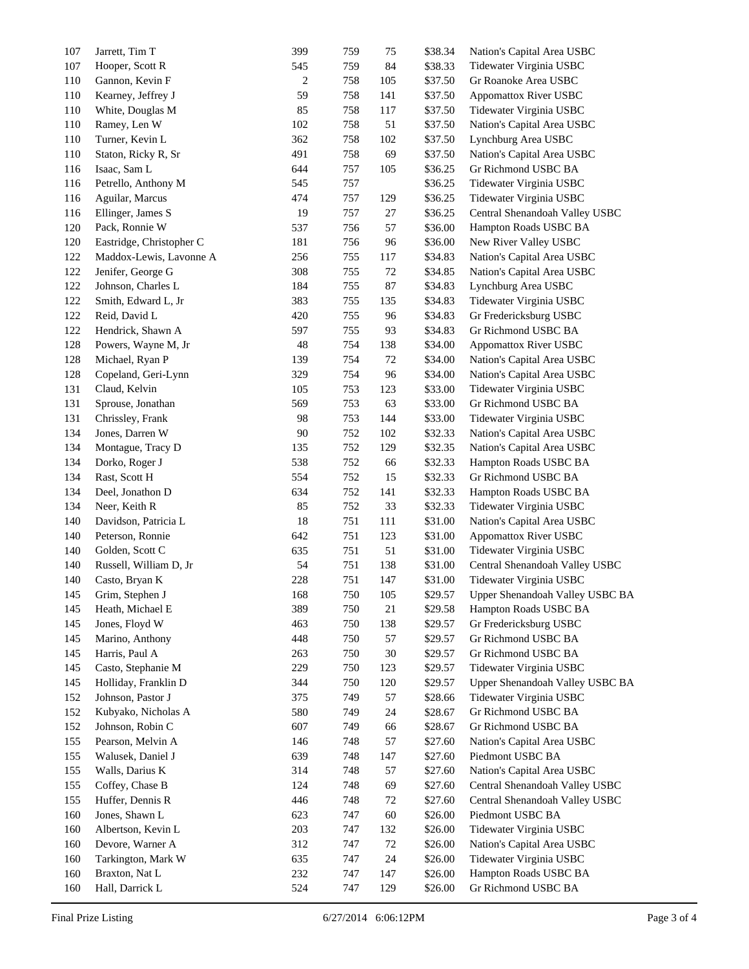| 107 | Jarrett, Tim T           | 399 | 759 | 75     | \$38.34 | Nation's Capital Area USBC      |
|-----|--------------------------|-----|-----|--------|---------|---------------------------------|
| 107 | Hooper, Scott R          | 545 | 759 | 84     | \$38.33 | Tidewater Virginia USBC         |
| 110 | Gannon, Kevin F          | 2   | 758 | 105    | \$37.50 | Gr Roanoke Area USBC            |
| 110 | Kearney, Jeffrey J       | 59  | 758 | 141    | \$37.50 | <b>Appomattox River USBC</b>    |
| 110 | White, Douglas M         | 85  | 758 | 117    | \$37.50 | Tidewater Virginia USBC         |
| 110 | Ramey, Len W             | 102 | 758 | 51     | \$37.50 | Nation's Capital Area USBC      |
| 110 | Turner, Kevin L          | 362 | 758 | 102    | \$37.50 | Lynchburg Area USBC             |
| 110 | Staton, Ricky R, Sr      | 491 | 758 | 69     | \$37.50 | Nation's Capital Area USBC      |
| 116 | Isaac, Sam L             | 644 | 757 | 105    | \$36.25 | Gr Richmond USBC BA             |
| 116 | Petrello, Anthony M      | 545 | 757 |        | \$36.25 | Tidewater Virginia USBC         |
| 116 | Aguilar, Marcus          | 474 | 757 | 129    | \$36.25 | Tidewater Virginia USBC         |
| 116 | Ellinger, James S        | 19  | 757 | $27\,$ | \$36.25 | Central Shenandoah Valley USBC  |
| 120 | Pack, Ronnie W           | 537 | 756 | 57     | \$36.00 | Hampton Roads USBC BA           |
| 120 | Eastridge, Christopher C | 181 | 756 | 96     | \$36.00 | New River Valley USBC           |
| 122 | Maddox-Lewis, Lavonne A  | 256 | 755 | 117    | \$34.83 | Nation's Capital Area USBC      |
| 122 | Jenifer, George G        | 308 | 755 | 72     | \$34.85 | Nation's Capital Area USBC      |
| 122 | Johnson, Charles L       | 184 | 755 | 87     | \$34.83 | Lynchburg Area USBC             |
| 122 | Smith, Edward L, Jr      | 383 | 755 | 135    | \$34.83 | Tidewater Virginia USBC         |
| 122 | Reid, David L            | 420 | 755 | 96     | \$34.83 | Gr Fredericksburg USBC          |
| 122 | Hendrick, Shawn A        | 597 | 755 | 93     | \$34.83 | Gr Richmond USBC BA             |
| 128 | Powers, Wayne M, Jr      | 48  | 754 | 138    | \$34.00 | <b>Appomattox River USBC</b>    |
| 128 | Michael, Ryan P          | 139 | 754 | 72     | \$34.00 | Nation's Capital Area USBC      |
| 128 | Copeland, Geri-Lynn      | 329 | 754 | 96     | \$34.00 | Nation's Capital Area USBC      |
| 131 | Claud, Kelvin            | 105 | 753 | 123    | \$33.00 | Tidewater Virginia USBC         |
| 131 | Sprouse, Jonathan        | 569 | 753 | 63     | \$33.00 | Gr Richmond USBC BA             |
| 131 | Chrissley, Frank         | 98  | 753 | 144    | \$33.00 | Tidewater Virginia USBC         |
| 134 | Jones, Darren W          | 90  | 752 | 102    | \$32.33 | Nation's Capital Area USBC      |
| 134 | Montague, Tracy D        | 135 | 752 | 129    | \$32.35 | Nation's Capital Area USBC      |
| 134 | Dorko, Roger J           | 538 | 752 | 66     | \$32.33 | Hampton Roads USBC BA           |
| 134 | Rast, Scott H            | 554 | 752 | 15     | \$32.33 | Gr Richmond USBC BA             |
| 134 | Deel, Jonathon D         | 634 | 752 | 141    | \$32.33 | Hampton Roads USBC BA           |
| 134 | Neer, Keith R            | 85  | 752 | 33     | \$32.33 | Tidewater Virginia USBC         |
| 140 | Davidson, Patricia L     | 18  | 751 | 111    | \$31.00 | Nation's Capital Area USBC      |
| 140 | Peterson, Ronnie         | 642 | 751 | 123    | \$31.00 | <b>Appomattox River USBC</b>    |
| 140 | Golden, Scott C          | 635 | 751 | 51     | \$31.00 | Tidewater Virginia USBC         |
| 140 | Russell, William D, Jr   | 54  | 751 | 138    | \$31.00 | Central Shenandoah Valley USBC  |
| 140 | Casto, Bryan K           | 228 | 751 | 147    | \$31.00 | Tidewater Virginia USBC         |
| 145 | Grim, Stephen J          | 168 | 750 | 105    | \$29.57 | Upper Shenandoah Valley USBC BA |
| 145 | Heath, Michael E         | 389 | 750 | 21     | \$29.58 | Hampton Roads USBC BA           |
| 145 | Jones, Floyd W           | 463 | 750 | 138    | \$29.57 | Gr Fredericksburg USBC          |
| 145 | Marino, Anthony          | 448 | 750 | 57     | \$29.57 | Gr Richmond USBC BA             |
| 145 | Harris, Paul A           | 263 | 750 | 30     | \$29.57 | Gr Richmond USBC BA             |
| 145 | Casto, Stephanie M       | 229 | 750 | 123    | \$29.57 | Tidewater Virginia USBC         |
| 145 | Holliday, Franklin D     | 344 | 750 | 120    | \$29.57 | Upper Shenandoah Valley USBC BA |
| 152 | Johnson, Pastor J        | 375 | 749 | 57     | \$28.66 | Tidewater Virginia USBC         |
| 152 | Kubyako, Nicholas A      | 580 | 749 | 24     | \$28.67 | Gr Richmond USBC BA             |
| 152 | Johnson, Robin C         | 607 | 749 | 66     | \$28.67 | Gr Richmond USBC BA             |
| 155 | Pearson, Melvin A        | 146 | 748 | 57     | \$27.60 | Nation's Capital Area USBC      |
| 155 | Walusek, Daniel J        | 639 | 748 | 147    | \$27.60 | Piedmont USBC BA                |
| 155 | Walls, Darius K          | 314 | 748 | 57     | \$27.60 | Nation's Capital Area USBC      |
| 155 | Coffey, Chase B          | 124 | 748 | 69     | \$27.60 | Central Shenandoah Valley USBC  |
| 155 | Huffer, Dennis R         | 446 | 748 | 72     | \$27.60 | Central Shenandoah Valley USBC  |
| 160 | Jones, Shawn L           | 623 | 747 | 60     | \$26.00 | Piedmont USBC BA                |
| 160 | Albertson, Kevin L       | 203 | 747 | 132    | \$26.00 | Tidewater Virginia USBC         |
| 160 | Devore, Warner A         | 312 | 747 | 72     | \$26.00 | Nation's Capital Area USBC      |
| 160 | Tarkington, Mark W       | 635 | 747 | 24     | \$26.00 | Tidewater Virginia USBC         |
| 160 | Braxton, Nat L           | 232 | 747 | 147    | \$26.00 | Hampton Roads USBC BA           |
| 160 | Hall, Darrick L          | 524 | 747 | 129    | \$26.00 | Gr Richmond USBC BA             |